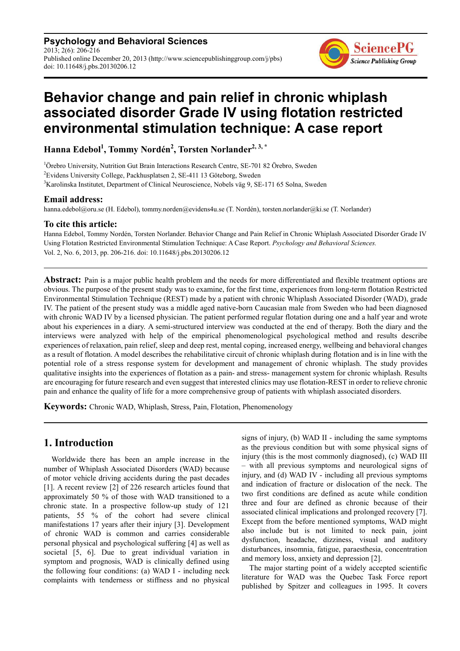**Psychology and Behavioral Sciences** 2013; 2(6): 206-216 Published online December 20, 2013 (http://www.sciencepublishinggroup.com/j/pbs) doi: 10.11648/j.pbs.20130206.12



# **Behavior change and pain relief in chronic whiplash associated disorder Grade IV using flotation restricted environmental stimulation technique: A case report**

**Hanna Edebol<sup>1</sup> , Tommy Nordén<sup>2</sup> , Torsten Norlander2, 3, \***

<sup>1</sup>Örebro University, Nutrition Gut Brain Interactions Research Centre, SE-701 82 Örebro, Sweden <sup>2</sup>Evidens University College, Packhusplatsen 2, SE-411 13 Göteborg, Sweden <sup>3</sup>Karolinska Institutet, Department of Clinical Neuroscience, Nobels väg 9, SE-171 65 Solna, Sweden

# **Email address:**

hanna.edebol@oru.se (H. Edebol), tommy.norden@evidens4u.se (T. Nordén), torsten.norlander@ki.se (T. Norlander)

# **To cite this article:**

Hanna Edebol, Tommy Nordén, Torsten Norlander. Behavior Change and Pain Relief in Chronic Whiplash Associated Disorder Grade IV Using Flotation Restricted Environmental Stimulation Technique: A Case Report. *Psychology and Behavioral Sciences.* Vol. 2, No. 6, 2013, pp. 206-216. doi: 10.11648/j.pbs.20130206.12

**Abstract:** Pain is a major public health problem and the needs for more differentiated and flexible treatment options are obvious. The purpose of the present study was to examine, for the first time, experiences from long-term flotation Restricted Environmental Stimulation Technique (REST) made by a patient with chronic Whiplash Associated Disorder (WAD), grade IV. The patient of the present study was a middle aged native-born Caucasian male from Sweden who had been diagnosed with chronic WAD IV by a licensed physician. The patient performed regular flotation during one and a half year and wrote about his experiences in a diary. A semi-structured interview was conducted at the end of therapy. Both the diary and the interviews were analyzed with help of the empirical phenomenological psychological method and results describe experiences of relaxation, pain relief, sleep and deep rest, mental coping, increased energy, wellbeing and behavioral changes as a result of flotation. A model describes the rehabilitative circuit of chronic whiplash during flotation and is in line with the potential role of a stress response system for development and management of chronic whiplash. The study provides qualitative insights into the experiences of flotation as a pain- and stress- management system for chronic whiplash. Results are encouraging for future research and even suggest that interested clinics may use flotation-REST in order to relieve chronic pain and enhance the quality of life for a more comprehensive group of patients with whiplash associated disorders.

**Keywords:** Chronic WAD, Whiplash, Stress, Pain, Flotation, Phenomenology

# **1. Introduction**

Worldwide there has been an ample increase in the number of Whiplash Associated Disorders (WAD) because of motor vehicle driving accidents during the past decades [1]. A recent review [2] of 226 research articles found that approximately 50 % of those with WAD transitioned to a chronic state. In a prospective follow-up study of 121 patients, 55 % of the cohort had severe clinical manifestations 17 years after their injury [3]. Development of chronic WAD is common and carries considerable personal physical and psychological suffering [4] as well as societal [5, 6]. Due to great individual variation in symptom and prognosis, WAD is clinically defined using the following four conditions: (a) WAD I - including neck complaints with tenderness or stiffness and no physical signs of injury, (b) WAD II - including the same symptoms as the previous condition but with some physical signs of injury (this is the most commonly diagnosed), (c) WAD III – with all previous symptoms and neurological signs of injury, and (d) WAD IV - including all previous symptoms and indication of fracture or dislocation of the neck. The two first conditions are defined as acute while condition three and four are defined as chronic because of their associated clinical implications and prolonged recovery [7]. Except from the before mentioned symptoms, WAD might also include but is not limited to neck pain, joint dysfunction, headache, dizziness, visual and auditory disturbances, insomnia, fatigue, paraesthesia, concentration and memory loss, anxiety and depression [2].

The major starting point of a widely accepted scientific literature for WAD was the Quebec Task Force report published by Spitzer and colleagues in 1995. It covers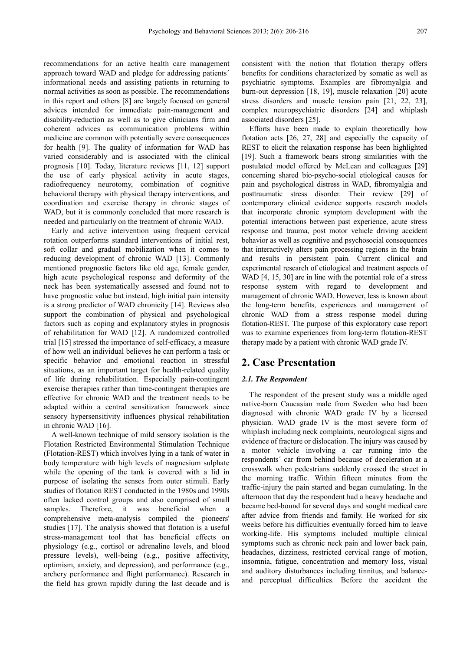recommendations for an active health care management approach toward WAD and pledge for addressing patients´ informational needs and assisting patients in returning to normal activities as soon as possible. The recommendations in this report and others [8] are largely focused on general advices intended for immediate pain-management and disability-reduction as well as to give clinicians firm and coherent advices as communication problems within medicine are common with potentially severe consequences for health [9]. The quality of information for WAD has varied considerably and is associated with the clinical prognosis [10]. Today, literature reviews [11, 12] support the use of early physical activity in acute stages, radiofrequency neurotomy, combination of cognitive behavioral therapy with physical therapy interventions, and coordination and exercise therapy in chronic stages of WAD, but it is commonly concluded that more research is needed and particularly on the treatment of chronic WAD.

Early and active intervention using frequent cervical rotation outperforms standard interventions of initial rest, soft collar and gradual mobilization when it comes to reducing development of chronic WAD [13]. Commonly mentioned prognostic factors like old age, female gender, high acute psychological response and deformity of the neck has been systematically assessed and found not to have prognostic value but instead, high initial pain intensity is a strong predictor of WAD chronicity [14]. Reviews also support the combination of physical and psychological factors such as coping and explanatory styles in prognosis of rehabilitation for WAD [12]. A randomized controlled trial [15] stressed the importance of self-efficacy, a measure of how well an individual believes he can perform a task or specific behavior and emotional reaction in stressful situations, as an important target for health-related quality of life during rehabilitation. Especially pain-contingent exercise therapies rather than time-contingent therapies are effective for chronic WAD and the treatment needs to be adapted within a central sensitization framework since sensory hypersensitivity influences physical rehabilitation in chronic WAD [16].

A well-known technique of mild sensory isolation is the Flotation Restricted Environmental Stimulation Technique (Flotation-REST) which involves lying in a tank of water in body temperature with high levels of magnesium sulphate while the opening of the tank is covered with a lid in purpose of isolating the senses from outer stimuli. Early studies of flotation REST conducted in the 1980s and 1990s often lacked control groups and also comprised of small samples. Therefore, it was beneficial when a comprehensive meta-analysis compiled the pioneers' studies [17]. The analysis showed that flotation is a useful stress-management tool that has beneficial effects on physiology (e.g., cortisol or adrenaline levels, and blood pressure levels), well-being (e.g., positive affectivity, optimism, anxiety, and depression), and performance (e.g., archery performance and flight performance). Research in the field has grown rapidly during the last decade and is consistent with the notion that flotation therapy offers benefits for conditions characterized by somatic as well as psychiatric symptoms. Examples are fibromyalgia and burn-out depression [18, 19], muscle relaxation [20] acute stress disorders and muscle tension pain [21, 22, 23], complex neuropsychiatric disorders [24] and whiplash associated disorders [25].

Efforts have been made to explain theoretically how flotation acts [26, 27, 28] and especially the capacity of REST to elicit the relaxation response has been highlighted [19]. Such a framework bears strong similarities with the postulated model offered by McLean and colleagues [29] concerning shared bio-psycho-social etiological causes for pain and psychological distress in WAD, fibromyalgia and posttraumatic stress disorder. Their review [29] of contemporary clinical evidence supports research models that incorporate chronic symptom development with the potential interactions between past experience, acute stress response and trauma, post motor vehicle driving accident behavior as well as cognitive and psychosocial consequences that interactively alters pain processing regions in the brain and results in persistent pain. Current clinical and experimental research of etiological and treatment aspects of WAD [4, 15, 30] are in line with the potential role of a stress response system with regard to development and management of chronic WAD. However, less is known about the long-term benefits, experiences and management of chronic WAD from a stress response model during flotation-REST. The purpose of this exploratory case report was to examine experiences from long-term flotation-REST therapy made by a patient with chronic WAD grade IV.

# **2. Case Presentation**

#### *2.1. The Respondent*

The respondent of the present study was a middle aged native-born Caucasian male from Sweden who had been diagnosed with chronic WAD grade IV by a licensed physician. WAD grade IV is the most severe form of whiplash including neck complaints, neurological signs and evidence of fracture or dislocation. The injury was caused by a motor vehicle involving a car running into the respondents´ car from behind because of deceleration at a crosswalk when pedestrians suddenly crossed the street in the morning traffic. Within fifteen minutes from the traffic-injury the pain started and began cumulating. In the afternoon that day the respondent had a heavy headache and became bed-bound for several days and sought medical care after advice from friends and family. He worked for six weeks before his difficulties eventually forced him to leave working-life. His symptoms included multiple clinical symptoms such as chronic neck pain and lower back pain, headaches, dizziness, restricted cervical range of motion, insomnia, fatigue, concentration and memory loss, visual and auditory disturbances including tinnitus, and balanceand perceptual difficulties. Before the accident the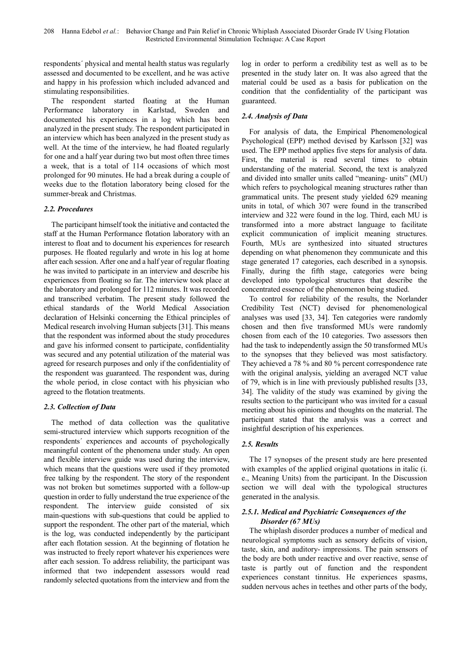respondents´ physical and mental health status was regularly assessed and documented to be excellent, and he was active and happy in his profession which included advanced and stimulating responsibilities.

The respondent started floating at the Human Performance laboratory in Karlstad, Sweden and documented his experiences in a log which has been analyzed in the present study. The respondent participated in an interview which has been analyzed in the present study as well. At the time of the interview, he had floated regularly for one and a half year during two but most often three times a week, that is a total of 114 occasions of which most prolonged for 90 minutes. He had a break during a couple of weeks due to the flotation laboratory being closed for the summer-break and Christmas.

# *2.2. Procedures*

The participant himself took the initiative and contacted the staff at the Human Performance flotation laboratory with an interest to float and to document his experiences for research purposes. He floated regularly and wrote in his log at home after each session. After one and a half year of regular floating he was invited to participate in an interview and describe his experiences from floating so far. The interview took place at the laboratory and prolonged for 112 minutes. It was recorded and transcribed verbatim. The present study followed the ethical standards of the World Medical Association declaration of Helsinki concerning the Ethical principles of Medical research involving Human subjects [31]. This means that the respondent was informed about the study procedures and gave his informed consent to participate, confidentiality was secured and any potential utilization of the material was agreed for research purposes and only if the confidentiality of the respondent was guaranteed. The respondent was, during the whole period, in close contact with his physician who agreed to the flotation treatments.

### *2.3. Collection of Data*

The method of data collection was the qualitative semi-structured interview which supports recognition of the respondents´ experiences and accounts of psychologically meaningful content of the phenomena under study. An open and flexible interview guide was used during the interview, which means that the questions were used if they promoted free talking by the respondent. The story of the respondent was not broken but sometimes supported with a follow-up question in order to fully understand the true experience of the respondent. The interview guide consisted of six main-questions with sub-questions that could be applied to support the respondent. The other part of the material, which is the log, was conducted independently by the participant after each flotation session. At the beginning of flotation he was instructed to freely report whatever his experiences were after each session. To address reliability, the participant was informed that two independent assessors would read randomly selected quotations from the interview and from the

log in order to perform a credibility test as well as to be presented in the study later on. It was also agreed that the material could be used as a basis for publication on the condition that the confidentiality of the participant was guaranteed.

# *2.4. Analysis of Data*

For analysis of data, the Empirical Phenomenological Psychological (EPP) method devised by Karlsson [32] was used. The EPP method applies five steps for analysis of data. First, the material is read several times to obtain understanding of the material. Second, the text is analyzed and divided into smaller units called "meaning- units" (MU) which refers to psychological meaning structures rather than grammatical units. The present study yielded 629 meaning units in total, of which 307 were found in the transcribed interview and 322 were found in the log. Third, each MU is transformed into a more abstract language to facilitate explicit communication of implicit meaning structures. Fourth, MUs are synthesized into situated structures depending on what phenomenon they communicate and this stage generated 17 categories, each described in a synopsis. Finally, during the fifth stage, categories were being developed into typological structures that describe the concentrated essence of the phenomenon being studied.

To control for reliability of the results, the Norlander Credibility Test (NCT) devised for phenomenological analyses was used [33, 34]. Ten categories were randomly chosen and then five transformed MUs were randomly chosen from each of the 10 categories. Two assessors then had the task to independently assign the 50 transformed MUs to the synopses that they believed was most satisfactory. They achieved a 78 % and 80 % percent correspondence rate with the original analysis, yielding an averaged NCT value of 79, which is in line with previously published results [33, 34]. The validity of the study was examined by giving the results section to the participant who was invited for a casual meeting about his opinions and thoughts on the material. The participant stated that the analysis was a correct and insightful description of his experiences.

# *2.5. Results*

The 17 synopses of the present study are here presented with examples of the applied original quotations in italic (i. e., Meaning Units) from the participant. In the Discussion section we will deal with the typological structures generated in the analysis.

### *2.5.1. Medical and Psychiatric Consequences of the Disorder (67 MUs)*

The whiplash disorder produces a number of medical and neurological symptoms such as sensory deficits of vision, taste, skin, and auditory- impressions. The pain sensors of the body are both under reactive and over reactive, sense of taste is partly out of function and the respondent experiences constant tinnitus. He experiences spasms, sudden nervous aches in teethes and other parts of the body,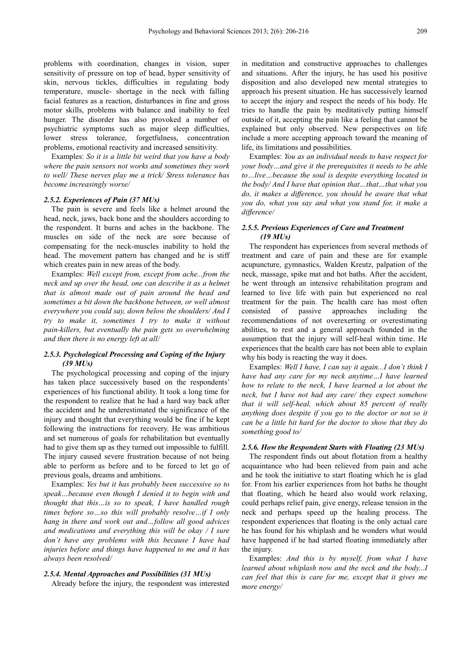problems with coordination, changes in vision, super sensitivity of pressure on top of head, hyper sensitivity of skin, nervous tickles, difficulties in regulating body temperature, muscle- shortage in the neck with falling facial features as a reaction, disturbances in fine and gross motor skills, problems with balance and inability to feel hunger. The disorder has also provoked a number of psychiatric symptoms such as major sleep difficulties, lower stress tolerance, forgetfulness, concentration problems, emotional reactivity and increased sensitivity.

Examples: *So it is a little bit weird that you have a body where the pain sensors not works and sometimes they work to well/ These nerves play me a trick/ Stress tolerance has become increasingly worse/* 

#### *2.5.2. Experiences of Pain (37 MUs)*

The pain is severe and feels like a helmet around the head, neck, jaws, back bone and the shoulders according to the respondent. It burns and aches in the backbone. The muscles on side of the neck are sore because of compensating for the neck-muscles inability to hold the head. The movement pattern has changed and he is stiff which creates pain in new areas of the body.

Examples: *Well except from, except from ache...from the neck and up over the head, one can describe it as a helmet that is almost made out of pain around the head and sometimes a bit down the backbone between, or well almost everywhere you could say, down below the shoulders/ And I try to make it, sometimes I try to make it without pain-killers, but eventually the pain gets so overwhelming and then there is no energy left at all/* 

### *2.5.3. Psychological Processing and Coping of the Injury (39 MUs)*

The psychological processing and coping of the injury has taken place successively based on the respondents' experiences of his functional ability. It took a long time for the respondent to realize that he had a hard way back after the accident and he underestimated the significance of the injury and thought that everything would be fine if he kept following the instructions for recovery. He was ambitious and set numerous of goals for rehabilitation but eventually had to give them up as they turned out impossible to fulfill. The injury caused severe frustration because of not being able to perform as before and to be forced to let go of previous goals, dreams and ambitions.

Examples: *Yes but it has probably been successive so to speak…because even though I denied it to begin with and thought that this…is so to speak, I have handled rough times before so…so this will probably resolve…if I only hang in there and work out and…follow all good advices and medications and everything this will be okay / I sure don´t have any problems with this because I have had injuries before and things have happened to me and it has always been resolved/* 

#### *2.5.4. Mental Approaches and Possibilities (31 MUs)*

Already before the injury, the respondent was interested

in meditation and constructive approaches to challenges and situations. After the injury, he has used his positive disposition and also developed new mental strategies to approach his present situation. He has successively learned to accept the injury and respect the needs of his body. He tries to handle the pain by meditatively putting himself outside of it, accepting the pain like a feeling that cannot be explained but only observed. New perspectives on life include a more accepting approach toward the meaning of life, its limitations and possibilities.

Examples: *You as an individual needs to have respect for your body…and give it the prerequisites it needs to be able to…live…because the soul is despite everything located in the body/ And I have that opinion that…that…that what you do, it makes a difference, you should be aware that what you do, what you say and what you stand for, it make a difference/* 

### *2.5.5. Previous Experiences of Care and Treatment (19 MUs)*

The respondent has experiences from several methods of treatment and care of pain and these are for example acupuncture, gymnastics, Walden Kreutz, palpation of the neck, massage, spike mat and hot baths. After the accident, he went through an intensive rehabilitation program and learned to live life with pain but experienced no real treatment for the pain. The health care has most often consisted of passive approaches including the recommendations of not overexerting or overestimating abilities, to rest and a general approach founded in the assumption that the injury will self-heal within time. He experiences that the health care has not been able to explain why his body is reacting the way it does.

Examples: *Well I have, I can say it again...I don´t think I have had any care for my neck anytime…I have learned how to relate to the neck, I have learned a lot about the neck, but I have not had any care/ they expect somehow that it will self-heal, which about 85 percent of really anything does despite if you go to the doctor or not so it can be a little bit hard for the doctor to show that they do something good to/* 

### *2.5.6. How the Respondent Starts with Floating (23 MUs)*

The respondent finds out about flotation from a healthy acquaintance who had been relieved from pain and ache and he took the initiative to start floating which he is glad for. From his earlier experiences from hot baths he thought that floating, which he heard also would work relaxing, could perhaps relief pain, give energy, release tension in the neck and perhaps speed up the healing process. The respondent experiences that floating is the only actual care he has found for his whiplash and he wonders what would have happened if he had started floating immediately after the injury.

Examples: *And this is by myself, from what I have learned about whiplash now and the neck and the body...I can feel that this is care for me, except that it gives me more energy/*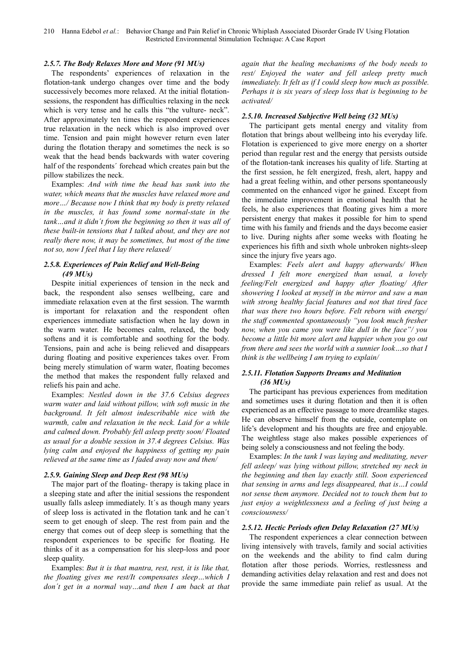#### *2.5.7. The Body Relaxes More and More (91 MUs)*

The respondents' experiences of relaxation in the flotation-tank undergo changes over time and the body successively becomes more relaxed. At the initial flotationsessions, the respondent has difficulties relaxing in the neck which is very tense and he calls this "the vulture- neck". After approximately ten times the respondent experiences true relaxation in the neck which is also improved over time. Tension and pain might however return even later during the flotation therapy and sometimes the neck is so weak that the head bends backwards with water covering half of the respondents´ forehead which creates pain but the pillow stabilizes the neck.

Examples: *And with time the head has sunk into the water, which means that the muscles have relaxed more and more…/ Because now I think that my body is pretty relaxed in the muscles, it has found some normal-state in the tank…and it didn´t from the beginning so then it was all of these built-in tensions that I talked about, and they are not really there now, it may be sometimes, but most of the time not so, now I feel that I lay there relaxed/* 

# *2.5.8. Experiences of Pain Relief and Well-Being (49 MUs)*

Despite initial experiences of tension in the neck and back, the respondent also senses wellbeing, care and immediate relaxation even at the first session. The warmth is important for relaxation and the respondent often experiences immediate satisfaction when he lay down in the warm water. He becomes calm, relaxed, the body softens and it is comfortable and soothing for the body. Tensions, pain and ache is being relieved and disappears during floating and positive experiences takes over. From being merely stimulation of warm water, floating becomes the method that makes the respondent fully relaxed and reliefs his pain and ache.

Examples: *Nestled down in the 37.6 Celsius degrees warm water and laid without pillow, with soft music in the background. It felt almost indescribable nice with the warmth, calm and relaxation in the neck. Laid for a while and calmed down. Probably fell asleep pretty soon/ Floated as usual for a double session in 37.4 degrees Celsius. Was lying calm and enjoyed the happiness of getting my pain relieved at the same time as I faded away now and then/* 

#### *2.5.9. Gaining Sleep and Deep Rest (98 MUs)*

The major part of the floating- therapy is taking place in a sleeping state and after the initial sessions the respondent usually falls asleep immediately. It´s as though many years of sleep loss is activated in the flotation tank and he can´t seem to get enough of sleep. The rest from pain and the energy that comes out of deep sleep is something that the respondent experiences to be specific for floating. He thinks of it as a compensation for his sleep-loss and poor sleep quality.

Examples: *But it is that mantra, rest, rest, it is like that, the floating gives me rest/It compensates sleep…which I don´t get in a normal way…and then I am back at that*  *again that the healing mechanisms of the body needs to rest/ Enjoyed the water and fell asleep pretty much immediately. It felt as if I could sleep how much as possible. Perhaps it is six years of sleep loss that is beginning to be activated/* 

#### *2.5.10. Increased Subjective Well being (32 MUs)*

The participant gets mental energy and vitality from flotation that brings about wellbeing into his everyday life. Flotation is experienced to give more energy on a shorter period than regular rest and the energy that persists outside of the flotation-tank increases his quality of life. Starting at the first session, he felt energized, fresh, alert, happy and had a great feeling within, and other persons spontaneously commented on the enhanced vigor he gained. Except from the immediate improvement in emotional health that he feels, he also experiences that floating gives him a more persistent energy that makes it possible for him to spend time with his family and friends and the days become easier to live. During nights after some weeks with floating he experiences his fifth and sixth whole unbroken nights-sleep since the injury five years ago.

Examples: *Feels alert and happy afterwards/ When dressed I felt more energized than usual, a lovely feeling/Felt energized and happy after floating/ After showering I looked at myself in the mirror and saw a man with strong healthy facial features and not that tired face that was there two hours before. Felt reborn with energy/ the staff commented spontaneously "you look much fresher now, when you came you were like dull in the face"/ you become a little bit more alert and happier when you go out from there and sees the world with a sunnier look…so that I think is the wellbeing I am trying to explain/* 

### *2.5.11. Flotation Supports Dreams and Meditation (36 MUs)*

The participant has previous experiences from meditation and sometimes uses it during flotation and then it is often experienced as an effective passage to more dreamlike stages. He can observe himself from the outside, contemplate on life's development and his thoughts are free and enjoyable. The weightless stage also makes possible experiences of being solely a consciousness and not feeling the body.

Examples: *In the tank I was laying and meditating, never fell asleep/ was lying without pillow, stretched my neck in the beginning and then lay exactly still. Soon experienced that sensing in arms and legs disappeared, that is…I could not sense them anymore. Decided not to touch them but to just enjoy a weightlessness and a feeling of just being a consciousness/* 

### *2.5.12. Hectic Periods often Delay Relaxation (27 MUs)*

The respondent experiences a clear connection between living intensively with travels, family and social activities on the weekends and the ability to find calm during flotation after those periods. Worries, restlessness and demanding activities delay relaxation and rest and does not provide the same immediate pain relief as usual. At the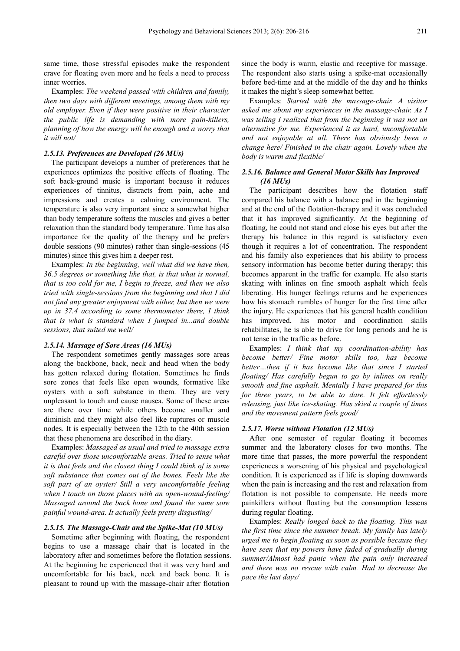same time, those stressful episodes make the respondent crave for floating even more and he feels a need to process inner worries.

Examples: *The weekend passed with children and family, then two days with different meetings, among them with my old employer. Even if they were positive in their character the public life is demanding with more pain-killers, planning of how the energy will be enough and a worry that it will not/* 

#### *2.5.13. Preferences are Developed (26 MUs)*

The participant develops a number of preferences that he experiences optimizes the positive effects of floating. The soft back-ground music is important because it reduces experiences of tinnitus, distracts from pain, ache and impressions and creates a calming environment. The temperature is also very important since a somewhat higher than body temperature softens the muscles and gives a better relaxation than the standard body temperature. Time has also importance for the quality of the therapy and he prefers double sessions (90 minutes) rather than single-sessions (45 minutes) since this gives him a deeper rest.

Examples: *In the beginning, well what did we have then, 36.5 degrees or something like that, is that what is normal, that is too cold for me, I begin to freeze, and then we also tried with single-sessions from the beginning and that I did not find any greater enjoyment with either, but then we were up in 37.4 according to some thermometer there, I think that is what is standard when I jumped in...and double sessions, that suited me well/* 

#### *2.5.14. Massage of Sore Areas (16 MUs)*

The respondent sometimes gently massages sore areas along the backbone, back, neck and head when the body has gotten relaxed during flotation. Sometimes he finds sore zones that feels like open wounds, formative like oysters with a soft substance in them. They are very unpleasant to touch and cause nausea. Some of these areas are there over time while others become smaller and diminish and they might also feel like ruptures or muscle nodes. It is especially between the 12th to the 40th session that these phenomena are described in the diary.

Examples: *Massaged as usual and tried to massage extra careful over those uncomfortable areas. Tried to sense what it is that feels and the closest thing I could think of is some soft substance that comes out of the bones. Feels like the soft part of an oyster/ Still a very uncomfortable feeling when I touch on those places with an open-wound-feeling/ Massaged around the back bone and found the same sore painful wound-area. It actually feels pretty disgusting/* 

### *2.5.15. The Massage-Chair and the Spike-Mat (10 MUs)*

Sometime after beginning with floating, the respondent begins to use a massage chair that is located in the laboratory after and sometimes before the flotation sessions. At the beginning he experienced that it was very hard and uncomfortable for his back, neck and back bone. It is pleasant to round up with the massage-chair after flotation

since the body is warm, elastic and receptive for massage. The respondent also starts using a spike-mat occasionally before bed-time and at the middle of the day and he thinks it makes the night's sleep somewhat better.

Examples: *Started with the massage-chair. A visitor asked me about my experiences in the massage-chair. As I was telling I realized that from the beginning it was not an alternative for me. Experienced it as hard, uncomfortable and not enjoyable at all. There has obviously been a change here/ Finished in the chair again. Lovely when the body is warm and flexible/* 

### *2.5.16. Balance and General Motor Skills has Improved (16 MUs)*

The participant describes how the flotation staff compared his balance with a balance pad in the beginning and at the end of the flotation-therapy and it was concluded that it has improved significantly. At the beginning of floating, he could not stand and close his eyes but after the therapy his balance in this regard is satisfactory even though it requires a lot of concentration. The respondent and his family also experiences that his ability to process sensory information has become better during therapy; this becomes apparent in the traffic for example. He also starts skating with inlines on fine smooth asphalt which feels liberating. His hunger feelings returns and he experiences how his stomach rumbles of hunger for the first time after the injury. He experiences that his general health condition has improved, his motor and coordination skills rehabilitates, he is able to drive for long periods and he is not tense in the traffic as before.

Examples: *I think that my coordination-ability has become better/ Fine motor skills too, has become better…then if it has become like that since I started floating/ Has carefully begun to go by inlines on really smooth and fine asphalt. Mentally I have prepared for this for three years, to be able to dare. It felt effortlessly releasing, just like ice-skating. Has skied a couple of times and the movement pattern feels good/* 

#### *2.5.17. Worse without Flotation (12 MUs)*

After one semester of regular floating it becomes summer and the laboratory closes for two months. The more time that passes, the more powerful the respondent experiences a worsening of his physical and psychological condition. It is experienced as if life is sloping downwards when the pain is increasing and the rest and relaxation from flotation is not possible to compensate. He needs more painkillers without floating but the consumption lessens during regular floating.

Examples: *Really longed back to the floating. This was the first time since the summer break. My family has lately urged me to begin floating as soon as possible because they have seen that my powers have faded of gradually during summer/Almost had panic when the pain only increased and there was no rescue with calm. Had to decrease the pace the last days/*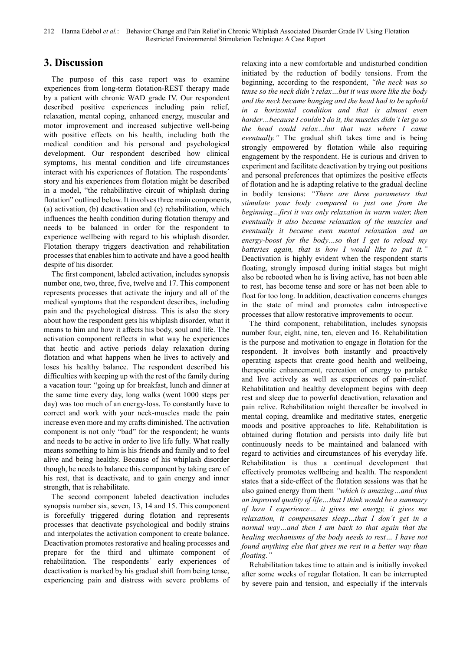# **3. Discussion**

The purpose of this case report was to examine experiences from long-term flotation-REST therapy made by a patient with chronic WAD grade IV. Our respondent described positive experiences including pain relief, relaxation, mental coping, enhanced energy, muscular and motor improvement and increased subjective well-being with positive effects on his health, including both the medical condition and his personal and psychological development. Our respondent described how clinical symptoms, his mental condition and life circumstances interact with his experiences of flotation. The respondents´ story and his experiences from flotation might be described in a model, "the rehabilitative circuit of whiplash during flotation" outlined below. It involves three main components, (a) activation, (b) deactivation and (c) rehabilitation, which influences the health condition during flotation therapy and needs to be balanced in order for the respondent to experience wellbeing with regard to his whiplash disorder. Flotation therapy triggers deactivation and rehabilitation processes that enables him to activate and have a good health despite of his disorder.

The first component, labeled activation, includes synopsis number one, two, three, five, twelve and 17. This component represents processes that activate the injury and all of the medical symptoms that the respondent describes, including pain and the psychological distress. This is also the story about how the respondent gets his whiplash disorder, what it means to him and how it affects his body, soul and life. The activation component reflects in what way he experiences that hectic and active periods delay relaxation during flotation and what happens when he lives to actively and loses his healthy balance. The respondent described his difficulties with keeping up with the rest of the family during a vacation tour: "going up for breakfast, lunch and dinner at the same time every day, long walks (went 1000 steps per day) was too much of an energy-loss. To constantly have to correct and work with your neck-muscles made the pain increase even more and my crafts diminished. The activation component is not only "bad" for the respondent; he wants and needs to be active in order to live life fully. What really means something to him is his friends and family and to feel alive and being healthy. Because of his whiplash disorder though, he needs to balance this component by taking care of his rest, that is deactivate, and to gain energy and inner strength, that is rehabilitate.

The second component labeled deactivation includes synopsis number six, seven, 13, 14 and 15. This component is forcefully triggered during flotation and represents processes that deactivate psychological and bodily strains and interpolates the activation component to create balance. Deactivation promotes restorative and healing processes and prepare for the third and ultimate component of rehabilitation. The respondents´ early experiences of deactivation is marked by his gradual shift from being tense, experiencing pain and distress with severe problems of relaxing into a new comfortable and undisturbed condition initiated by the reduction of bodily tensions. From the beginning, according to the respondent, *"the neck was so tense so the neck didn´t relax…but it was more like the body and the neck became hanging and the head had to be uphold in a horizontal condition and that is almost even harder…because I couldn't do it, the muscles didn´t let go so the head could relax…but that was where I came eventually."* The gradual shift takes time and is being strongly empowered by flotation while also requiring engagement by the respondent. He is curious and driven to experiment and facilitate deactivation by trying out positions and personal preferences that optimizes the positive effects of flotation and he is adapting relative to the gradual decline in bodily tensions: *"There are three parameters that stimulate your body compared to just one from the beginning…first it was only relaxation in warm water, then eventually it also became relaxation of the muscles and eventually it became even mental relaxation and an energy-boost for the body…so that I get to reload my batteries again, that is how I would like to put it."* Deactivation is highly evident when the respondent starts floating, strongly imposed during initial stages but might also be rebooted when he is living active, has not been able to rest, has become tense and sore or has not been able to float for too long. In addition, deactivation concerns changes in the state of mind and promotes calm introspective processes that allow restorative improvements to occur.

The third component, rehabilitation, includes synopsis number four, eight, nine, ten, eleven and 16. Rehabilitation is the purpose and motivation to engage in flotation for the respondent. It involves both instantly and proactively operating aspects that create good health and wellbeing, therapeutic enhancement, recreation of energy to partake and live actively as well as experiences of pain-relief. Rehabilitation and healthy development begins with deep rest and sleep due to powerful deactivation, relaxation and pain relive. Rehabilitation might thereafter be involved in mental coping, dreamlike and meditative states, energetic moods and positive approaches to life. Rehabilitation is obtained during flotation and persists into daily life but continuously needs to be maintained and balanced with regard to activities and circumstances of his everyday life. Rehabilitation is thus a continual development that effectively promotes wellbeing and health. The respondent states that a side-effect of the flotation sessions was that he also gained energy from them *"which is amazing…and thus an improved quality of life…that I think would be a summary of how I experience… it gives me energy, it gives me relaxation, it compensates sleep…that I don´t get in a normal way…and then I am back to that again that the healing mechanisms of the body needs to rest… I have not found anything else that gives me rest in a better way than floating."* 

Rehabilitation takes time to attain and is initially invoked after some weeks of regular flotation. It can be interrupted by severe pain and tension, and especially if the intervals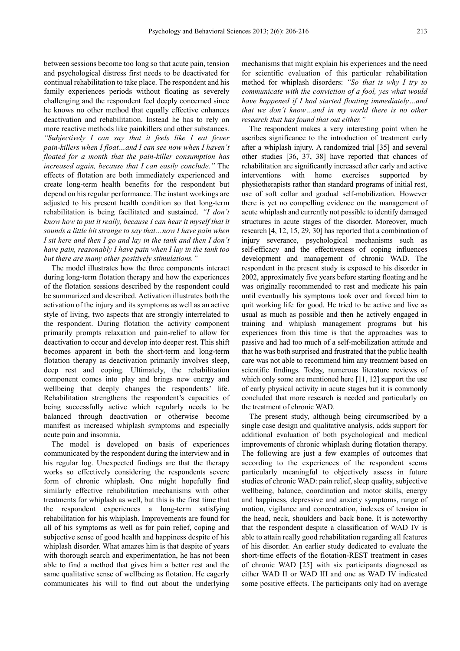between sessions become too long so that acute pain, tension and psychological distress first needs to be deactivated for continual rehabilitation to take place. The respondent and his family experiences periods without floating as severely challenging and the respondent feel deeply concerned since he knows no other method that equally effective enhances deactivation and rehabilitation. Instead he has to rely on more reactive methods like painkillers and other substances. *"Subjectively I can say that it feels like I eat fewer pain-killers when I float…and I can see now when I haven´t floated for a month that the pain-killer consumption has increased again, because that I can easily conclude."* The effects of flotation are both immediately experienced and create long-term health benefits for the respondent but depend on his regular performance. The instant workings are adjusted to his present health condition so that long-term rehabilitation is being facilitated and sustained. *"I don´t know how to put it really, because I can hear it myself that it sounds a little bit strange to say that…now I have pain when I sit here and then I go and lay in the tank and then I don´t have pain, reasonably I have pain when I lay in the tank too but there are many other positively stimulations."* 

The model illustrates how the three components interact during long-term flotation therapy and how the experiences of the flotation sessions described by the respondent could be summarized and described. Activation illustrates both the activation of the injury and its symptoms as well as an active style of living, two aspects that are strongly interrelated to the respondent. During flotation the activity component primarily prompts relaxation and pain-relief to allow for deactivation to occur and develop into deeper rest. This shift becomes apparent in both the short-term and long-term flotation therapy as deactivation primarily involves sleep, deep rest and coping. Ultimately, the rehabilitation component comes into play and brings new energy and wellbeing that deeply changes the respondents' life. Rehabilitation strengthens the respondent's capacities of being successfully active which regularly needs to be balanced through deactivation or otherwise become manifest as increased whiplash symptoms and especially acute pain and insomnia.

The model is developed on basis of experiences communicated by the respondent during the interview and in his regular log. Unexpected findings are that the therapy works so effectively considering the respondents severe form of chronic whiplash. One might hopefully find similarly effective rehabilitation mechanisms with other treatments for whiplash as well, but this is the first time that the respondent experiences a long-term satisfying rehabilitation for his whiplash. Improvements are found for all of his symptoms as well as for pain relief, coping and subjective sense of good health and happiness despite of his whiplash disorder. What amazes him is that despite of years with thorough search and experimentation, he has not been able to find a method that gives him a better rest and the same qualitative sense of wellbeing as flotation. He eagerly communicates his will to find out about the underlying mechanisms that might explain his experiences and the need for scientific evaluation of this particular rehabilitation method for whiplash disorders: *"So that is why I try to communicate with the conviction of a fool, yes what would have happened if I had started floating immediately…and that we don´t know…and in my world there is no other research that has found that out either."* 

The respondent makes a very interesting point when he ascribes significance to the introduction of treatment early after a whiplash injury. A randomized trial [35] and several other studies [36, 37, 38] have reported that chances of rehabilitation are significantly increased after early and active interventions with home exercises supported by physiotherapists rather than standard programs of initial rest, use of soft collar and gradual self-mobilization. However there is yet no compelling evidence on the management of acute whiplash and currently not possible to identify damaged structures in acute stages of the disorder. Moreover, much research [4, 12, 15, 29, 30] has reported that a combination of injury severance, psychological mechanisms such as self-efficacy and the effectiveness of coping influences development and management of chronic WAD. The respondent in the present study is exposed to his disorder in 2002, approximately five years before starting floating and he was originally recommended to rest and medicate his pain until eventually his symptoms took over and forced him to quit working life for good. He tried to be active and live as usual as much as possible and then he actively engaged in training and whiplash management programs but his experiences from this time is that the approaches was to passive and had too much of a self-mobilization attitude and that he was both surprised and frustrated that the public health care was not able to recommend him any treatment based on scientific findings. Today, numerous literature reviews of which only some are mentioned here [11, 12] support the use of early physical activity in acute stages but it is commonly concluded that more research is needed and particularly on the treatment of chronic WAD.

The present study, although being circumscribed by a single case design and qualitative analysis, adds support for additional evaluation of both psychological and medical improvements of chronic whiplash during flotation therapy. The following are just a few examples of outcomes that according to the experiences of the respondent seems particularly meaningful to objectively assess in future studies of chronic WAD: pain relief, sleep quality, subjective wellbeing, balance, coordination and motor skills, energy and happiness, depressive and anxiety symptoms, range of motion, vigilance and concentration, indexes of tension in the head, neck, shoulders and back bone. It is noteworthy that the respondent despite a classification of WAD IV is able to attain really good rehabilitation regarding all features of his disorder. An earlier study dedicated to evaluate the short-time effects of the flotation-REST treatment in cases of chronic WAD [25] with six participants diagnosed as either WAD II or WAD III and one as WAD IV indicated some positive effects. The participants only had on average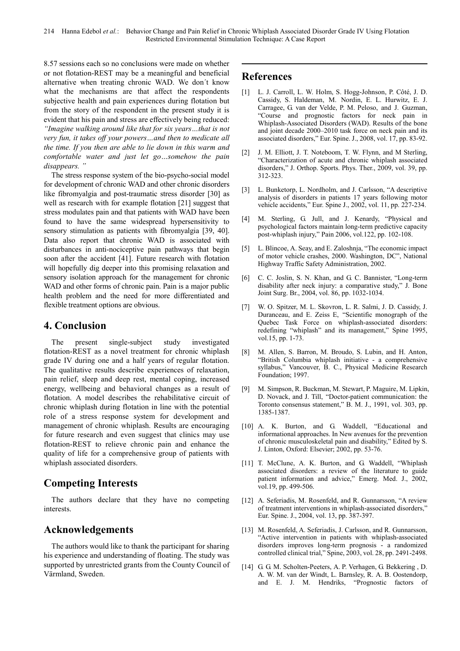8.57 sessions each so no conclusions were made on whether or not flotation-REST may be a meaningful and beneficial alternative when treating chronic WAD. We don´t know what the mechanisms are that affect the respondents subjective health and pain experiences during flotation but from the story of the respondent in the present study it is evident that his pain and stress are effectively being reduced: *"Imagine walking around like that for six years…that is not very fun, it takes off your powers…and then to medicate all the time. If you then are able to lie down in this warm and comfortable water and just let go…somehow the pain disappears. "* 

The stress response system of the bio-psycho-social model for development of chronic WAD and other chronic disorders like fibromyalgia and post-traumatic stress disorder [30] as well as research with for example flotation [21] suggest that stress modulates pain and that patients with WAD have been found to have the same widespread hypersensitivity to sensory stimulation as patients with fibromyalgia [39, 40]. Data also report that chronic WAD is associated with disturbances in anti-nociceptive pain pathways that begin soon after the accident [41]. Future research with flotation will hopefully dig deeper into this promising relaxation and sensory isolation approach for the management for chronic WAD and other forms of chronic pain. Pain is a major public health problem and the need for more differentiated and flexible treatment options are obvious.

# **4. Conclusion**

The present single-subject study investigated flotation-REST as a novel treatment for chronic whiplash grade IV during one and a half years of regular flotation. The qualitative results describe experiences of relaxation, pain relief, sleep and deep rest, mental coping, increased energy, wellbeing and behavioral changes as a result of flotation. A model describes the rehabilitative circuit of chronic whiplash during flotation in line with the potential role of a stress response system for development and management of chronic whiplash. Results are encouraging for future research and even suggest that clinics may use flotation-REST to relieve chronic pain and enhance the quality of life for a comprehensive group of patients with whiplash associated disorders.

# **Competing Interests**

The authors declare that they have no competing interests.

# **Acknowledgements**

The authors would like to thank the participant for sharing his experience and understanding of floating. The study was supported by unrestricted grants from the County Council of Värmland, Sweden.

# **References**

- [1] L. J. Carroll, L. W. Holm, S. Hogg-Johnson, P. Côté, J. D. Cassidy, S. Haldeman, M. Nordin, E. L. Hurwitz, E. J. Carragee, G. van der Velde, P. M. Peloso, and J. Guzman, "Course and prognostic factors for neck pain in Whiplash-Associated Disorders (WAD). Results of the bone and joint decade 2000–2010 task force on neck pain and its associated disorders," Eur. Spine. J., 2008, vol. 17, pp. 83-92.
- [2] J. M. Elliott, J. T. Noteboom, T. W. Flynn, and M Sterling, "Characterization of acute and chronic whiplash associated disorders," J. Orthop. Sports. Phys. Ther., 2009, vol. 39, pp. 312-323.
- [3] L. Bunketorp, L. Nordholm, and J. Carlsson, "A descriptive analysis of disorders in patients 17 years following motor vehicle accidents," Eur. Spine J., 2002, vol. 11, pp. 227-234.
- [4] M. Sterling, G. Jull, and J. Kenardy, "Physical and psychological factors maintain long-term predictive capacity post-whiplash injury," Pain 2006, vol.122, pp. 102-108.
- [5] L. Blincoe, A. Seay, and E. Zaloshnja, "The economic impact of motor vehicle crashes, 2000. Washington, DC", National Highway Traffic Safety Administration, 2002.
- [6] C. C. Joslin, S. N. Khan, and G. C. Bannister, "Long-term disability after neck injury: a comparative study," J. Bone Joint Surg. Br., 2004, vol. 86, pp. 1032-1034.
- [7] W. O. Spitzer, M. L. Skovron, L. R. Salmi, J. D. Cassidy, J. Duranceau, and E. Zeiss E, "Scientific monograph of the Quebec Task Force on whiplash-associated disorders: redefining "whiplash" and its management," Spine 1995, vol.15, pp. 1-73.
- [8] M. Allen, S. Barron, M. Broudo, S. Lubin, and H. Anton, "British Columbia whiplash initiative - a comprehensive syllabus," Vancouver, B. C., Physical Medicine Research Foundation; 1997.
- [9] M. Simpson, R. Buckman, M. Stewart, P. Maguire, M. Lipkin, D. Novack, and J. Till, "Doctor-patient communication: the Toronto consensus statement," B. M. J., 1991, vol. 303, pp. 1385-1387.
- [10] A. K. Burton, and G. Waddell, "Educational and informational approaches. In New avenues for the prevention of chronic musculoskeletal pain and disability," Edited by S. J. Linton, Oxford: Elsevier; 2002, pp. 53-76.
- [11] T. McClune, A. K. Burton, and G. Waddell, "Whiplash associated disorders: a review of the literature to guide patient information and advice," Emerg. Med. J., 2002, vol.19, pp. 499-506.
- [12] A. Seferiadis, M. Rosenfeld, and R. Gunnarsson, "A review of treatment interventions in whiplash-associated disorders," Eur. Spine. J., 2004, vol. 13, pp. 387-397.
- [13] M. Rosenfeld, A. Seferiadis, J. Carlsson, and R. Gunnarsson, "Active intervention in patients with whiplash-associated disorders improves long-term prognosis - a randomized controlled clinical trial," Spine, 2003, vol. 28, pp. 2491-2498.
- [14] G. G. M. Scholten-Peeters, A. P. Verhagen, G. Bekkering , D. A. W. M. van der Windt, L. Barnsley, R. A. B. Oostendorp, and E. J. M. Hendriks, "Prognostic factors of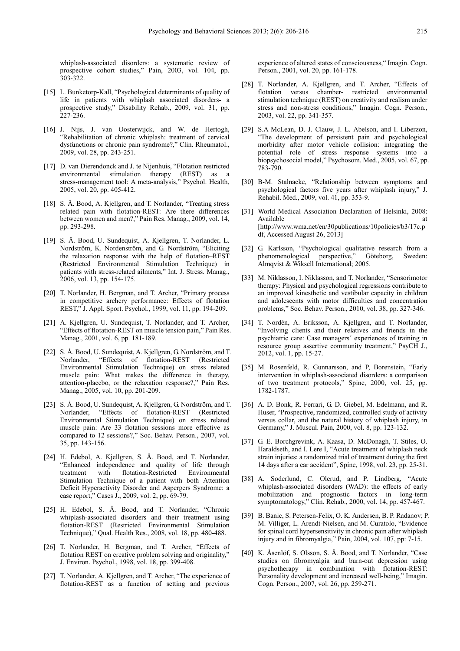whiplash-associated disorders: a systematic review of prospective cohort studies," Pain, 2003, vol. 104, pp. 303-322.

- [15] L. Bunketorp-Kall, "Psychological determinants of quality of life in patients with whiplash associated disorders- a prospective study," Disability Rehab., 2009, vol. 31, pp.  $227 - 236$ .
- [16] J. Nijs, J. van Oosterwijck, and W. de Hertogh, "Rehabilitation of chronic whiplash: treatment of cervical dysfunctions or chronic pain syndrome?," Clin. Rheumatol., 2009, vol. 28, pp. 243-251.
- [17] D. van Dierendonck and J. te Nijenhuis, "Flotation restricted" environmental stimulation therapy (REST) as a stress-management tool: A meta-analysis," Psychol. Health, 2005, vol. 20, pp. 405-412.
- [18] S. Å. Bood, A. Kjellgren, and T. Norlander, "Treating stress related pain with flotation-REST: Are there differences between women and men?," Pain Res. Manag., 2009, vol. 14, pp. 293-298.
- [19] S. Å. Bood, U. Sundequist, A. Kjellgren, T. Norlander, L. Nordström, K. Nordenström, and G. Nordström, "Eliciting the relaxation response with the help of flotation–REST (Restricted Environmental Stimulation Technique) in patients with stress-related ailments," Int. J. Stress. Manag., 2006, vol. 13, pp. 154-175.
- [20] T. Norlander, H. Bergman, and T. Archer, "Primary process" in competitive archery performance: Effects of flotation REST," J. Appl. Sport. Psychol., 1999, vol. 11, pp. 194-209.
- [21] A. Kjellgren, U. Sundequist, T. Norlander, and T. Archer, "Effects of flotation-REST on muscle tension pain," Pain Res. Manag., 2001, vol. 6, pp. 181-189.
- [22] S. Å. Bood, U. Sundequist, A. Kjellgren, G. Nordström, and T. Norlander, "Effects of flotation-REST (Restricted Environmental Stimulation Technique) on stress related muscle pain: What makes the difference in therapy, attention-placebo, or the relaxation response?," Pain Res. Manag., 2005, vol. 10, pp. 201-209.
- [23] S. Å. Bood, U. Sundequist, A. Kjellgren, G. Nordström, and T. Norlander, "Effects of flotation-REST (Restricted Environmental Stimulation Technique) on stress related muscle pain: Are 33 flotation sessions more effective as compared to 12 sessions?," Soc. Behav. Person., 2007, vol. 35, pp. 143-156.
- [24] H. Edebol, A. Kjellgren, S. Å. Bood, and T. Norlander, "Enhanced independence and quality of life through treatment with flotation-Restricted Environmental Stimulation Technique of a patient with both Attention Deficit Hyperactivity Disorder and Aspergers Syndrome: a case report," Cases J., 2009, vol. 2, pp. 69-79.
- [25] H. Edebol, S. Å. Bood, and T. Norlander, "Chronic whiplash-associated disorders and their treatment using flotation-REST (Restricted Environmental Stimulation Technique)," Qual. Health Res., 2008, vol. 18, pp. 480-488.
- [26] T. Norlander, H. Bergman, and T. Archer, "Effects of flotation REST on creative problem solving and originality," J. Environ. Psychol., 1998, vol. 18, pp. 399-408.
- [27] T. Norlander, A. Kjellgren, and T. Archer, "The experience of flotation-REST as a function of setting and previous

experience of altered states of consciousness," Imagin. Cogn. Person., 2001, vol. 20, pp. 161-178.

- [28] T. Norlander, A. Kjellgren, and T. Archer, "Effects of flotation versus chamber- restricted environmental stimulation technique (REST) on creativity and realism under stress and non-stress conditions," Imagin. Cogn. Person., 2003, vol. 22, pp. 341-357.
- [29] S.A McLean, D. J. Clauw, J. L. Abelson, and I. Liberzon, "The development of persistent pain and psychological morbidity after motor vehicle collision: integrating the potential role of stress response systems into a biopsychosocial model," Psychosom. Med., 2005, vol. 67, pp. 783-790.
- [30] B-M. Stalnacke, "Relationship between symptoms and psychological factors five years after whiplash injury," J. Rehabil. Med., 2009, vol. 41, pp. 353-9.
- [31] World Medical Association Declaration of Helsinki, 2008: Available at a strategies at a strategies at a strategies at a strategies at a strategies at a strategies at a [http://www.wma.net/en/30publications/10policies/b3/17c.p df, Accessed August 26, 2013]
- [32] G. Karlsson, "Psychological qualitative research from a phenomenological perspective," Göteborg, Sweden: Almqvist & Wiksell International; 2005.
- [33] M. Niklasson, I. Niklasson, and T. Norlander, "Sensorimotor therapy: Physical and psychological regressions contribute to an improved kinesthetic and vestibular capacity in children and adolescents with motor difficulties and concentration problems," Soc. Behav. Person., 2010, vol. 38, pp. 327-346.
- [34] T. Nordén, A. Eriksson, A. Kjellgren, and T. Norlander, "Involving clients and their relatives and friends in the psychiatric care: Case managers´ experiences of training in resource group assertive community treatment," PsyCH J., 2012, vol. 1, pp. 15-27.
- [35] M. Rosenfeld, R. Gunnarsson, and P, Borenstein, "Early intervention in whiplash-associated disorders: a comparison of two treatment protocols," Spine, 2000, vol. 25, pp. 1782-1787.
- [36] A. D. Bonk, R. Ferrari, G. D. Giebel, M. Edelmann, and R. Huser, "Prospective, randomized, controlled study of activity versus collar, and the natural history of whiplash injury, in Germany," J. Muscul. Pain, 2000, vol. 8, pp. 123-132.
- [37] G. E. Borchgrevink, A. Kaasa, D. McDonagh, T. Stiles, O. Haraldseth, and I. Lere I, "Acute treatment of whiplash neck strain injuries: a randomized trial of treatment during the first 14 days after a car accident", Spine, 1998, vol. 23, pp. 25-31.
- [38] A. Soderlund, C. Olerud, and P. Lindberg, "Acute whiplash-associated disorders (WAD): the effects of early mobilization and prognostic factors in long-term symptomatology," Clin. Rehab., 2000, vol. 14, pp. 457-467.
- [39] B. Banic, S. Petersen-Felix, O. K. Andersen, B. P. Radanov; P. M. Villiger, L. Arendt-Nielsen, and M. Curatolo, "Evidence for spinal cord hypersensitivity in chronic pain after whiplash injury and in fibromyalgia," Pain, 2004, vol. 107, pp: 7-15.
- [40] K. Åsenlöf, S. Olsson, S. Å. Bood, and T. Norlander, "Case studies on fibromyalgia and burn-out depression using psychotherapy in combination with flotation-REST: Personality development and increased well-being," Imagin. Cogn. Person., 2007, vol. 26, pp. 259-271.